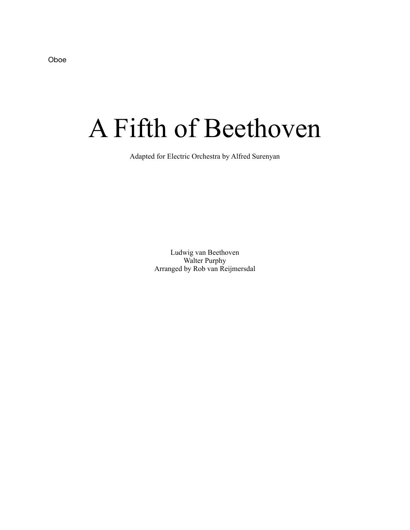Oboe

## A Fifth of Beethoven

Adapted for Electric Orchestra by Alfred Surenyan

Ludwig van Beethoven Walter Purphy Arranged by Rob van Reijmersdal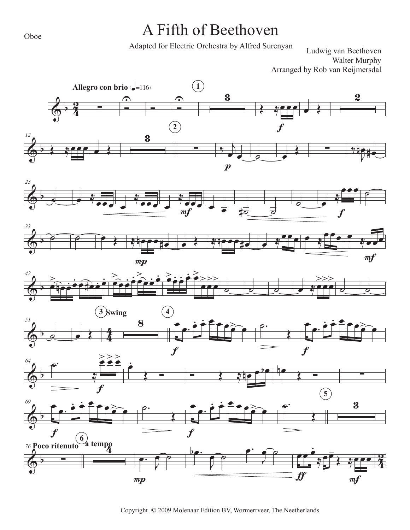## A Fifth of Beethoven

Adapted for Electric Orchestra by Alfred Surenyan

Ludwig van Beethoven Walter Murphy Arranged by Rob van Reijmersdal















Copyright © 2009 Molenaar Edition BV, Wormerrveer, The Neetherlands